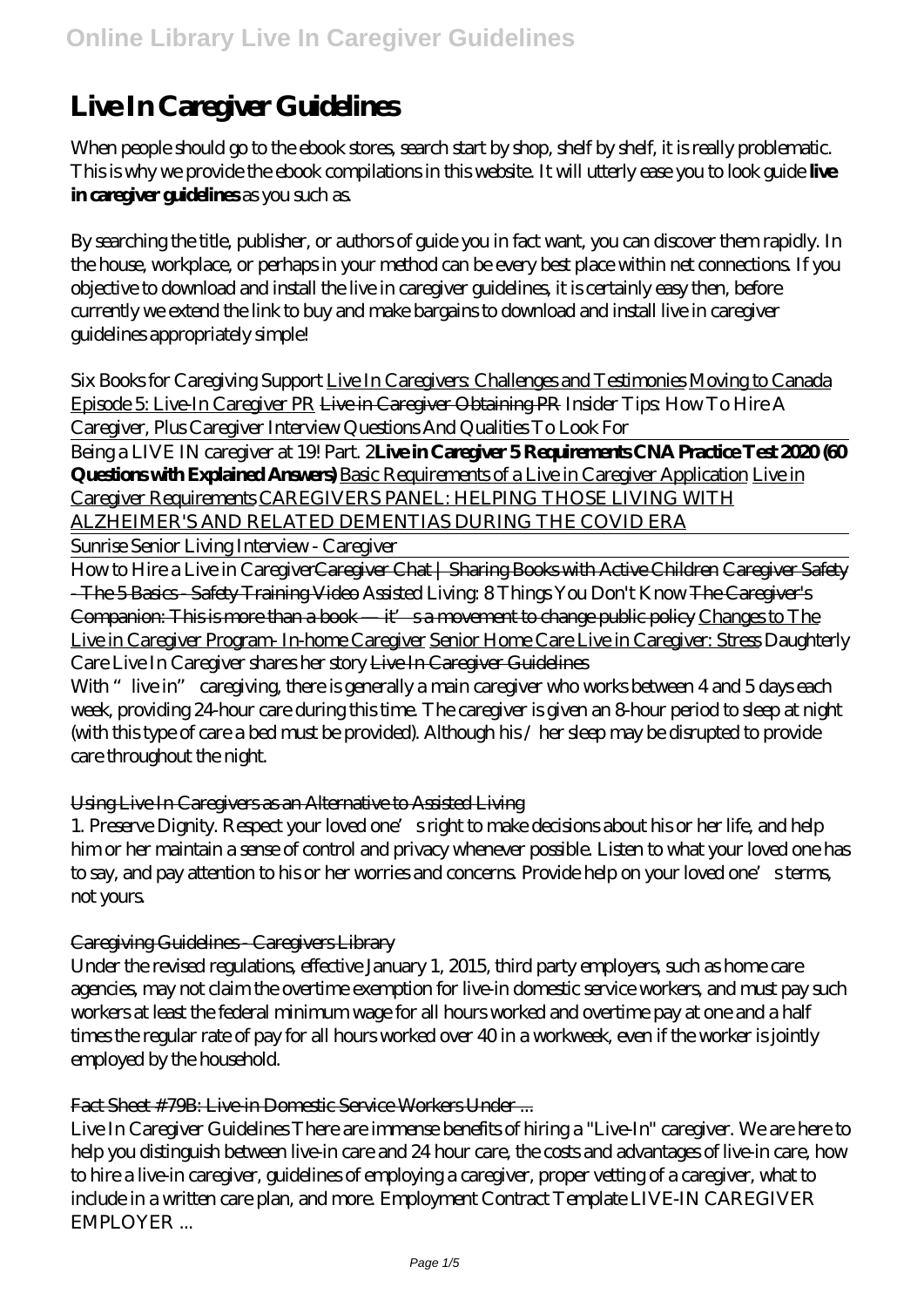# **Live In Caregiver Guidelines**

When people should go to the ebook stores, search start by shop, shelf by shelf, it is really problematic. This is why we provide the ebook compilations in this website. It will utterly ease you to look guide **live in caregiver guidelines** as you such as.

By searching the title, publisher, or authors of guide you in fact want, you can discover them rapidly. In the house, workplace, or perhaps in your method can be every best place within net connections. If you objective to download and install the live in caregiver guidelines, it is certainly easy then, before currently we extend the link to buy and make bargains to download and install live in caregiver guidelines appropriately simple!

*Six Books for Caregiving Support* Live In Caregivers: Challenges and Testimonies Moving to Canada Episode 5: Live-In Caregiver PR Live in Caregiver Obtaining PR *Insider Tips: How To Hire A Caregiver, Plus Caregiver Interview Questions And Qualities To Look For*

Being a LIVE IN caregiver at 19! Part. 2**Live in Caregiver 5 Requirements CNA Practice Test 2020 (60 Questions with Explained Answers)** Basic Requirements of a Live in Caregiver Application Live in Caregiver Requirements CAREGIVERS PANEL: HELPING THOSE LIVING WITH ALZHEIMER'S AND RELATED DEMENTIAS DURING THE COVID ERA

Sunrise Senior Living Interview - Caregiver

How to Hire a Live in Caregiver<del>Caregiver Chat | Sharing Books with Active Children Caregiver Safety</del> - The 5 Basics - Safety Training Video *Assisted Living: 8 Things You Don't Know* The Caregiver's Companion: This is more than a book — it's a movement to change public policy Changes to The Live in Caregiver Program- In-home Caregiver Senior Home Care Live in Caregiver: Stress *Daughterly Care Live In Caregiver shares her story* Live In Caregiver Guidelines

With "live in" caregiving, there is generally a main caregiver who works between 4 and 5 days each week, providing 24-hour care during this time. The caregiver is given an 8-hour period to sleep at night (with this type of care a bed must be provided). Although his / her sleep may be disrupted to provide care throughout the night.

## Using Live In Caregivers as an Alternative to Assisted Living

1. Preserve Dignity. Respect your loved one's right to make decisions about his or her life, and help him or her maintain a sense of control and privacy whenever possible. Listen to what your loved one has to say, and pay attention to his or her worries and concerns. Provide help on your loved one's terms, not yours.

## Caregiving Guidelines - Caregivers Library

Under the revised regulations, effective January 1, 2015, third party employers, such as home care agencies, may not claim the overtime exemption for live-in domestic service workers, and must pay such workers at least the federal minimum wage for all hours worked and overtime pay at one and a half times the regular rate of pay for all hours worked over 40 in a workweek, even if the worker is jointly employed by the household.

#### Fact Sheet #79B: Live in Domestic Service Workers Under ...

Live In Caregiver Guidelines There are immense benefits of hiring a "Live-In" caregiver. We are here to help you distinguish between live-in care and 24 hour care, the costs and advantages of live-in care, how to hire a live-in caregiver, guidelines of employing a caregiver, proper vetting of a caregiver, what to include in a written care plan, and more. Employment Contract Template LIVE-IN CAREGIVER EMPLOYER ...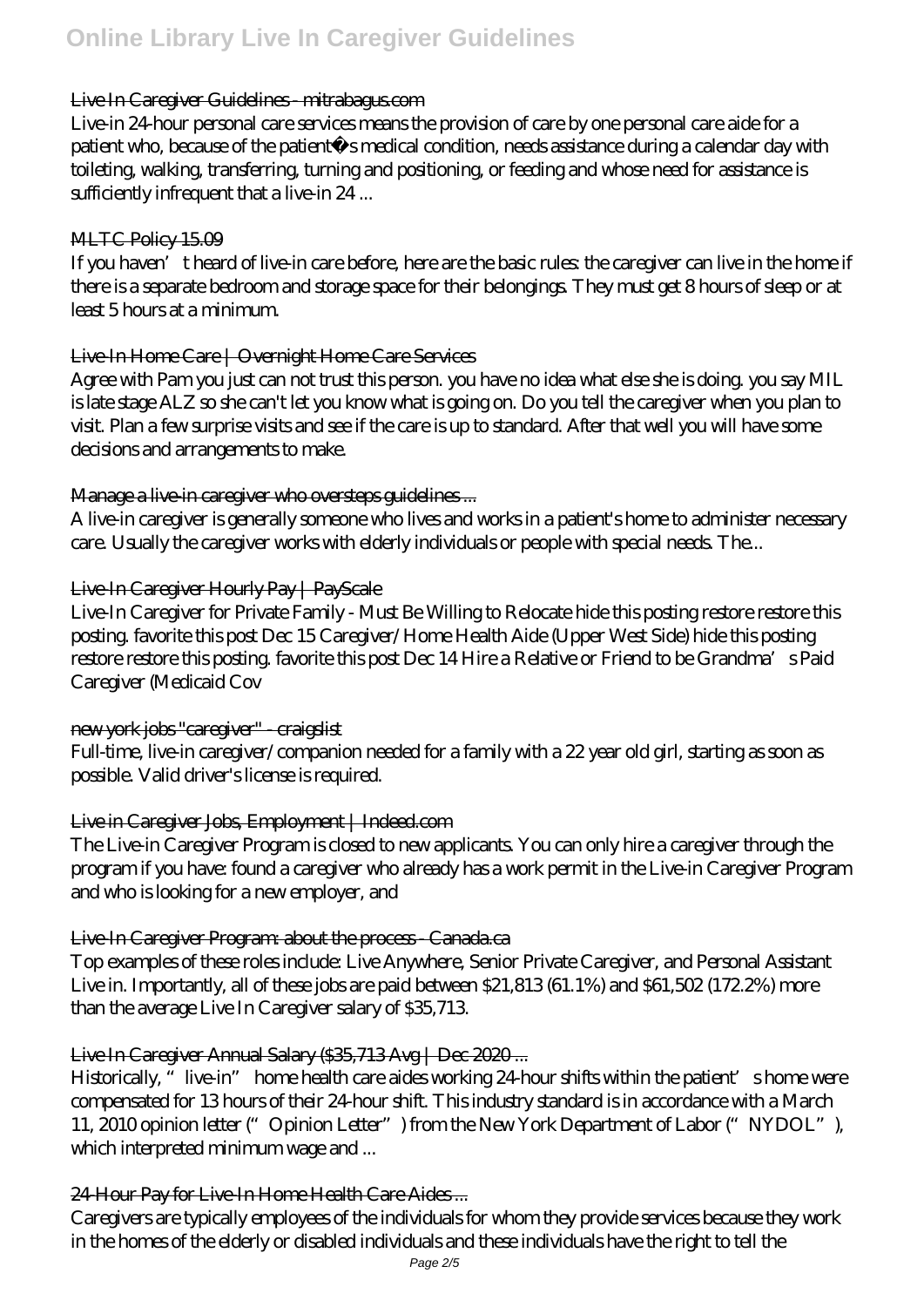#### Live In Caregiver Guidelines mitrabagus.com

Live-in 24-hour personal care services means the provision of care by one personal care aide for a patient who, because of the patient´s medical condition, needs assistance during a calendar day with toileting, walking, transferring, turning and positioning, or feeding and whose need for assistance is sufficiently infrequent that a live-in 24...

#### MLTC Policy 15.09

If you haven't heard of live-in care before, here are the basic rules: the caregiver can live in the home if there is a separate bedroom and storage space for their belongings. They must get 8 hours of sleep or at least 5 hours at a minimum.

#### Live-In Home Care | Overnight Home Care Services

Agree with Pam you just can not trust this person. you have no idea what else she is doing. you say MIL is late stage ALZ so she can't let you know what is going on. Do you tell the caregiver when you plan to visit. Plan a few surprise visits and see if the care is up to standard. After that well you will have some decisions and arrangements to make.

#### Manage a live-in caregiver who oversteps guidelines ...

A live-in caregiver is generally someone who lives and works in a patient's home to administer necessary care. Usually the caregiver works with elderly individuals or people with special needs. The...

#### Live-In Caregiver Hourly Pay | PayScale

Live-In Caregiver for Private Family - Must Be Willing to Relocate hide this posting restore restore this posting. favorite this post Dec 15 Caregiver/Home Health Aide (Upper West Side) hide this posting restore restore this posting. favorite this post Dec 14 Hire a Relative or Friend to be Grandma's Paid Caregiver (Medicaid Cov

## new york jobs "caregiver" - craigslist

Full-time, live-in caregiver/companion needed for a family with a 22 year old girl, starting as soon as possible. Valid driver's license is required.

## Live in Caregiver Jobs, Employment | Indeed.com

The Live-in Caregiver Program is closed to new applicants. You can only hire a caregiver through the program if you have: found a caregiver who already has a work permit in the Live-in Caregiver Program and who is looking for a new employer, and

## Live-In Caregiver Program: about the process - Canada.ca

Top examples of these roles include: Live Anywhere, Senior Private Caregiver, and Personal Assistant Live in. Importantly, all of these jobs are paid between \$21,813 (61.1%) and \$61,502 (172.2%) more than the average Live In Caregiver salary of \$35,713.

## Live In Caregiver Annual Salary (\$35,713 Avg | Dec 2020...

Historically, "live-in" home health care aides working 24-hour shifts within the patient's home were compensated for 13 hours of their 24-hour shift. This industry standard is in accordance with a March 11, 2010 opinion letter ("Opinion Letter") from the New York Department of Labor ("NYDOL"), which interpreted minimum wage and ...

## 24-Hour Pay for Live-In Home Health Care Aides...

Caregivers are typically employees of the individuals for whom they provide services because they work in the homes of the elderly or disabled individuals and these individuals have the right to tell the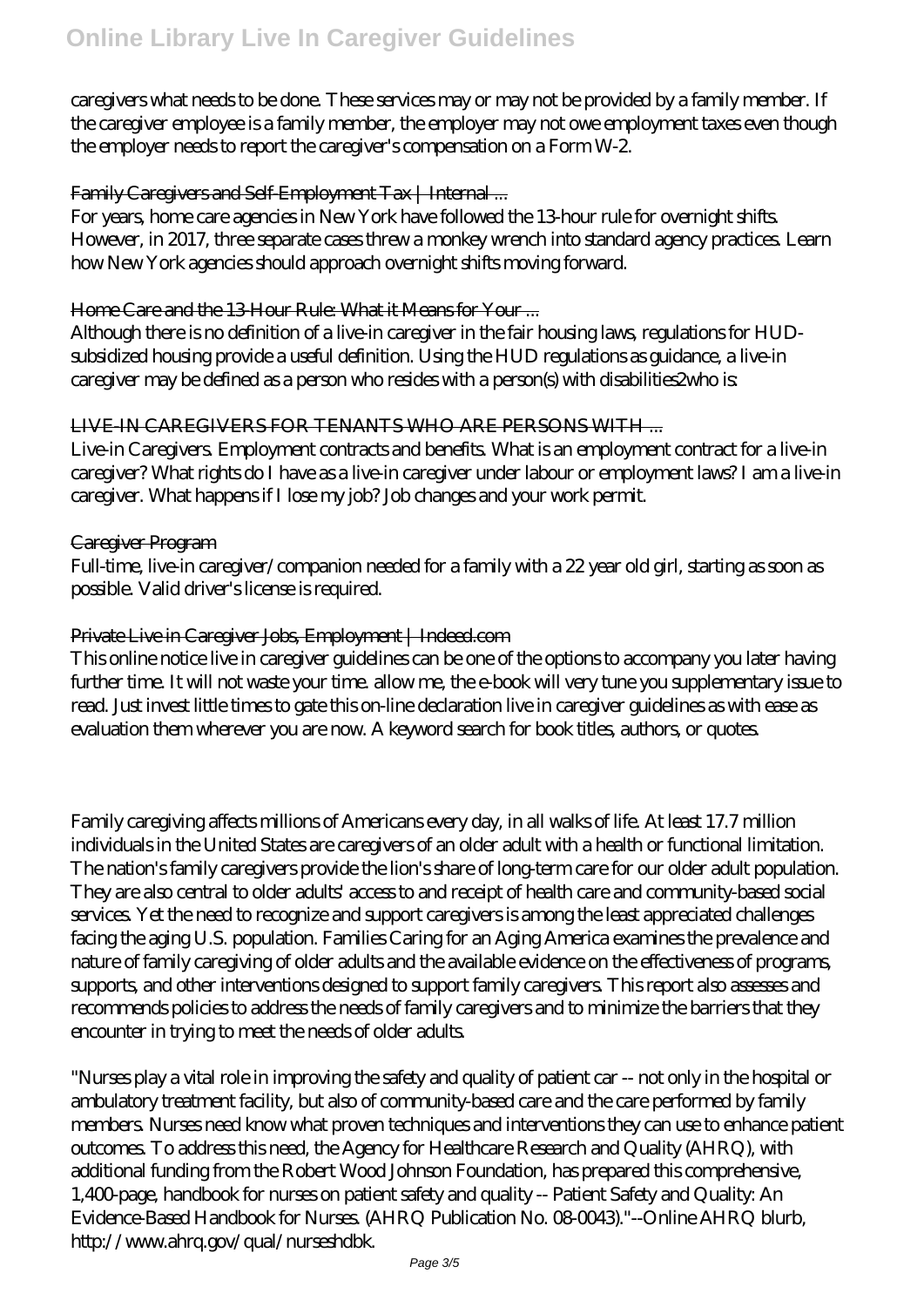caregivers what needs to be done. These services may or may not be provided by a family member. If the caregiver employee is a family member, the employer may not owe employment taxes even though the employer needs to report the caregiver's compensation on a Form W-2.

#### Family Caregivers and Self-Employment Tax | Internal ...

For years, home care agencies in New York have followed the 13-hour rule for overnight shifts. However, in 2017, three separate cases threw a monkey wrench into standard agency practices. Learn how New York agencies should approach overnight shifts moving forward.

#### Home Care and the 13-Hour Rule: What it Means for Your ...

Although there is no definition of a live-in caregiver in the fair housing laws, regulations for HUDsubsidized housing provide a useful definition. Using the HUD regulations as guidance, a live-in caregiver may be defined as a person who resides with a person(s) with disabilities2who is:

## LIVE-IN CAREGIVERS FOR TENANTS WHO ARE PERSONS WITH ...

Live-in Caregivers. Employment contracts and benefits. What is an employment contract for a live-in caregiver? What rights do I have as a live-in caregiver under labour or employment laws? I am a live-in caregiver. What happens if I lose my job? Job changes and your work permit.

#### Caregiver Program

Full-time, live-in caregiver/companion needed for a family with a 22 year old girl, starting as soon as possible. Valid driver's license is required.

## Private Live in Caregiver Jobs, Employment | Indeed.com

This online notice live in caregiver guidelines can be one of the options to accompany you later having further time. It will not waste your time. allow me, the e-book will very tune you supplementary issue to read. Just invest little times to gate this on-line declaration live in caregiver guidelines as with ease as evaluation them wherever you are now. A keyword search for book titles, authors, or quotes.

Family caregiving affects millions of Americans every day, in all walks of life. At least 17.7 million individuals in the United States are caregivers of an older adult with a health or functional limitation. The nation's family caregivers provide the lion's share of long-term care for our older adult population. They are also central to older adults' access to and receipt of health care and community-based social services. Yet the need to recognize and support caregivers is among the least appreciated challenges facing the aging U.S. population. Families Caring for an Aging America examines the prevalence and nature of family caregiving of older adults and the available evidence on the effectiveness of programs, supports, and other interventions designed to support family caregivers. This report also assesses and recommends policies to address the needs of family caregivers and to minimize the barriers that they encounter in trying to meet the needs of older adults.

"Nurses play a vital role in improving the safety and quality of patient car -- not only in the hospital or ambulatory treatment facility, but also of community-based care and the care performed by family members. Nurses need know what proven techniques and interventions they can use to enhance patient outcomes. To address this need, the Agency for Healthcare Research and Quality (AHRQ), with additional funding from the Robert Wood Johnson Foundation, has prepared this comprehensive, 1,400-page, handbook for nurses on patient safety and quality -- Patient Safety and Quality: An Evidence-Based Handbook for Nurses. (AHRQ Publication No. 08-0043)."--Online AHRQ blurb, http://www.ahrq.gov/qual/nurseshdbk.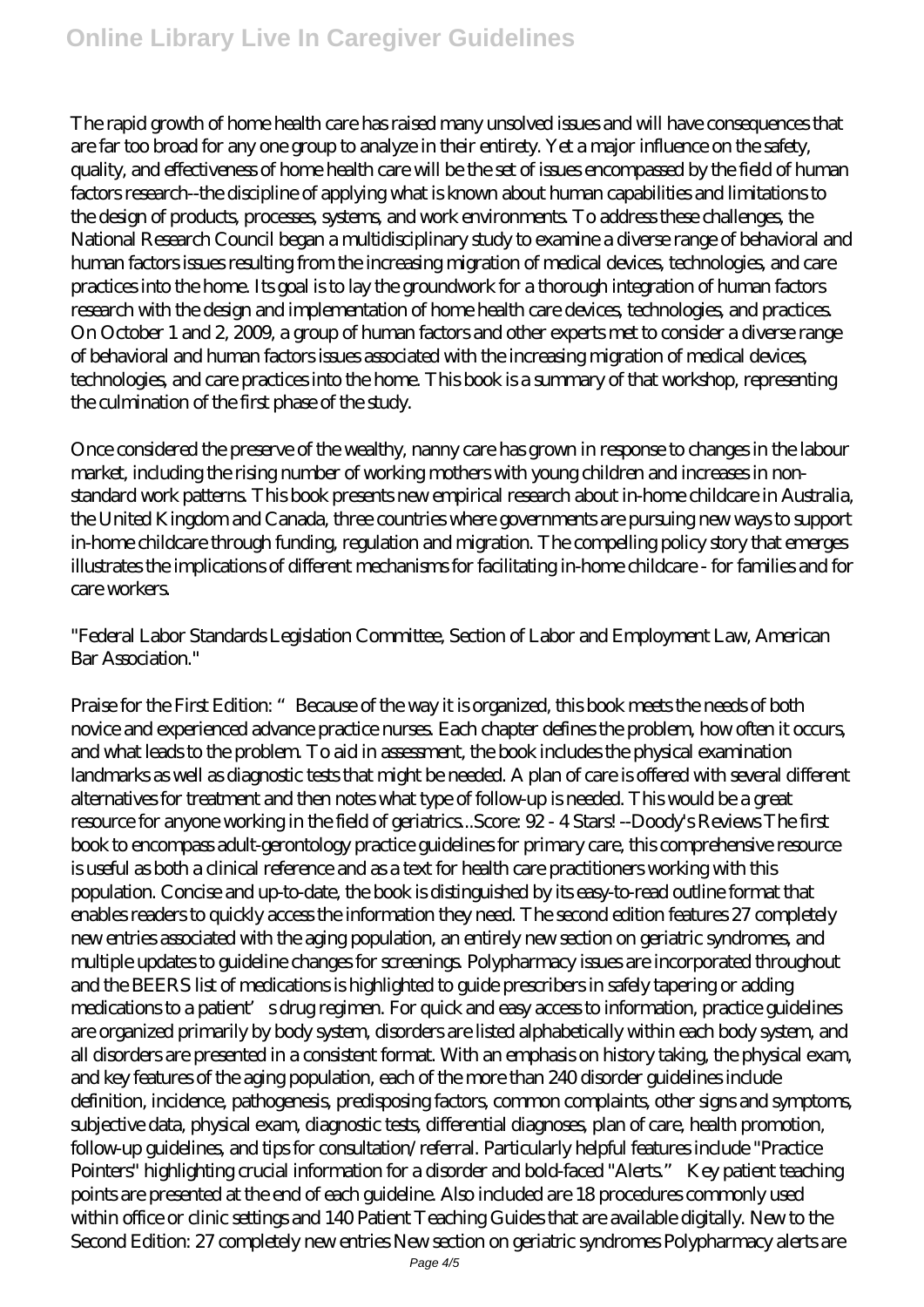The rapid growth of home health care has raised many unsolved issues and will have consequences that are far too broad for any one group to analyze in their entirety. Yet a major influence on the safety, quality, and effectiveness of home health care will be the set of issues encompassed by the field of human factors research--the discipline of applying what is known about human capabilities and limitations to the design of products, processes, systems, and work environments. To address these challenges, the National Research Council began a multidisciplinary study to examine a diverse range of behavioral and human factors issues resulting from the increasing migration of medical devices, technologies, and care practices into the home. Its goal is to lay the groundwork for a thorough integration of human factors research with the design and implementation of home health care devices, technologies, and practices. On October 1 and 2, 2009, a group of human factors and other experts met to consider a diverse range of behavioral and human factors issues associated with the increasing migration of medical devices, technologies, and care practices into the home. This book is a summary of that workshop, representing the culmination of the first phase of the study.

Once considered the preserve of the wealthy, nanny care has grown in response to changes in the labour market, including the rising number of working mothers with young children and increases in nonstandard work patterns. This book presents new empirical research about in-home childcare in Australia, the United Kingdom and Canada, three countries where governments are pursuing new ways to support in-home childcare through funding, regulation and migration. The compelling policy story that emerges illustrates the implications of different mechanisms for facilitating in-home childcare - for families and for care workers.

"Federal Labor Standards Legislation Committee, Section of Labor and Employment Law, American Bar Association."

Praise for the First Edition: "Because of the way it is organized, this book meets the needs of both novice and experienced advance practice nurses. Each chapter defines the problem, how often it occurs, and what leads to the problem. To aid in assessment, the book includes the physical examination landmarks as well as diagnostic tests that might be needed. A plan of care is offered with several different alternatives for treatment and then notes what type of follow-up is needed. This would be a great resource for anyone working in the field of geriatrics...Score: 92 - 4 Stars! --Doody's Reviews The first book to encompass adult-gerontology practice guidelines for primary care, this comprehensive resource is useful as both a clinical reference and as a text for health care practitioners working with this population. Concise and up-to-date, the book is distinguished by its easy-to-read outline format that enables readers to quickly access the information they need. The second edition features 27 completely new entries associated with the aging population, an entirely new section on geriatric syndromes, and multiple updates to guideline changes for screenings. Polypharmacy issues are incorporated throughout and the BEERS list of medications is highlighted to guide prescribers in safely tapering or adding medications to a patient's drug regimen. For quick and easy access to information, practice guidelines are organized primarily by body system, disorders are listed alphabetically within each body system, and all disorders are presented in a consistent format. With an emphasis on history taking, the physical exam, and key features of the aging population, each of the more than 240 disorder guidelines include definition, incidence, pathogenesis, predisposing factors, common complaints, other signs and symptoms, subjective data, physical exam, diagnostic tests, differential diagnoses, plan of care, health promotion, follow-up guidelines, and tips for consultation/referral. Particularly helpful features include "Practice Pointers" highlighting crucial information for a disorder and bold-faced "Alerts." Key patient teaching points are presented at the end of each guideline. Also included are 18 procedures commonly used within office or clinic settings and 140 Patient Teaching Guides that are available digitally. New to the Second Edition: 27 completely new entries New section on geriatric syndromes Polypharmacy alerts are